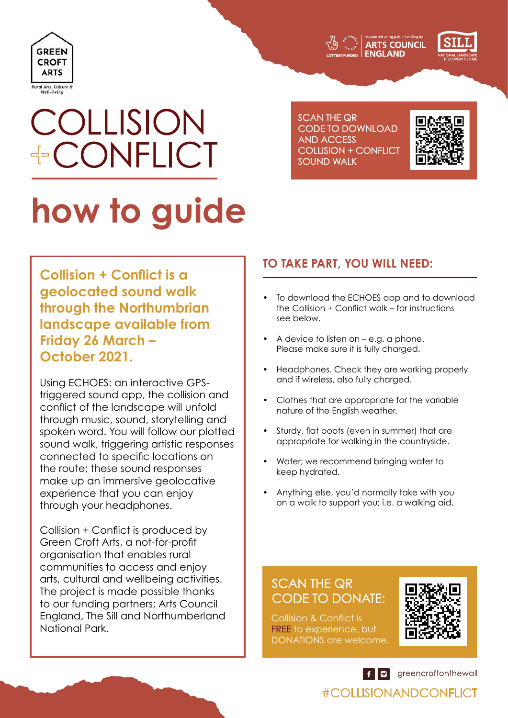



# COLLISION +CONFLICT

SCAN THE QR CODE TO DOWNLOAD AND ACCESS COLLISION + CONFLICT SOUND WALK



# **how to guide**

**Collision + Conflict is a geolocated sound walk through the Northumbrian landscape available from Friday 26 March – October 2021.** 

Using ECHOES: an interactive GPStriggered sound app, the collision and conflict of the landscape will unfold through music, sound, storytelling and spoken word. You will follow our plotted sound walk, triggering artistic responses connected to specific locations on the route; these sound responses make up an immersive geolocative experience that you can enjoy through your headphones.

Collision + Conflict is produced by Green Croft Arts, a not-for-profit organisation that enables rural communities to access and enjoy arts, cultural and wellbeing activities. The project is made possible thanks to our funding partners; Arts Council England, The Sill and Northumberland National Park.

# **TO TAKE PART, YOU WILL NEED:**

- **•** To download the ECHOES app and to download the Collision + Conflict walk – for instructions see below.
- **•** A device to listen on e.g. a phone. Please make sure it is fully charged.
- **•** Headphones. Check they are working properly and if wireless, also fully charged.
- **•** Clothes that are appropriate for the variable nature of the English weather.
- **•** Sturdy, flat boots (even in summer) that are appropriate for walking in the countryside.
- **•** Water; we recommend bringing water to keep hydrated.
- **•** Anything else, you'd normally take with you on a walk to support you; i.e. a walking aid.

# SCAN THE QR CODE TO DONATE:

Collision & Conflict is **FREE** to experience, but DONATIONS are welcome.



 $\left| \begin{array}{c} \bullet \\ \bullet \end{array} \right|$  greencroftonthewall

# #COLLISIONANDCONFLICT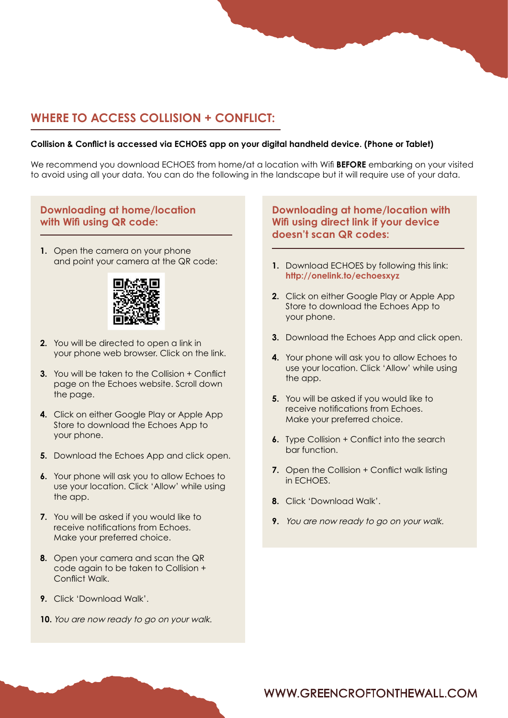# **WHERE TO ACCESS COLLISION + CONFLICT:**

#### **Collision & Conflict is accessed via ECHOES app on your digital handheld device. (Phone or Tablet)**

We recommend you download ECHOES from home/at a location with Wifi **BEFORE** embarking on your visited to avoid using all your data. You can do the following in the landscape but it will require use of your data.

#### **Downloading at home/location with Wifi using QR code:**

**1.** Open the camera on your phone and point your camera at the QR code:



- **2.** You will be directed to open a link in your phone web browser. Click on the link.
- **3.** You will be taken to the Collision + Conflict page on the Echoes website. Scroll down the page.
- **4.** Click on either Google Play or Apple App Store to download the Echoes App to your phone.
- **5.** Download the Echoes App and click open.
- **6.** Your phone will ask you to allow Echoes to use your location. Click 'Allow' while using the app.
- **7.** You will be asked if you would like to receive notifications from Echoes. Make your preferred choice.
- **8.** Open your camera and scan the QR code again to be taken to Collision + Conflict Walk.
- **9.** Click 'Download Walk'.
- **10.** You are now ready to go on your walk.

#### **Downloading at home/location with Wifi using direct link if your device doesn't scan QR codes:**

- **1.** Download ECHOES by following this link: **<http://onelink.to/echoesxyz>**
- **2.** Click on either Google Play or Apple App Store to download the Echoes App to your phone.
- **3.** Download the Echoes App and click open.
- **4.** Your phone will ask you to allow Echoes to use your location. Click 'Allow' while using the app.
- **5.** You will be asked if you would like to receive notifications from Echoes. Make your preferred choice.
- **6.** Type Collision + Conflict into the search bar function.
- **7.** Open the Collision + Conflict walk listing in ECHOES.
- **8.** Click 'Download Walk'.
- **9.** You are now ready to go on your walk.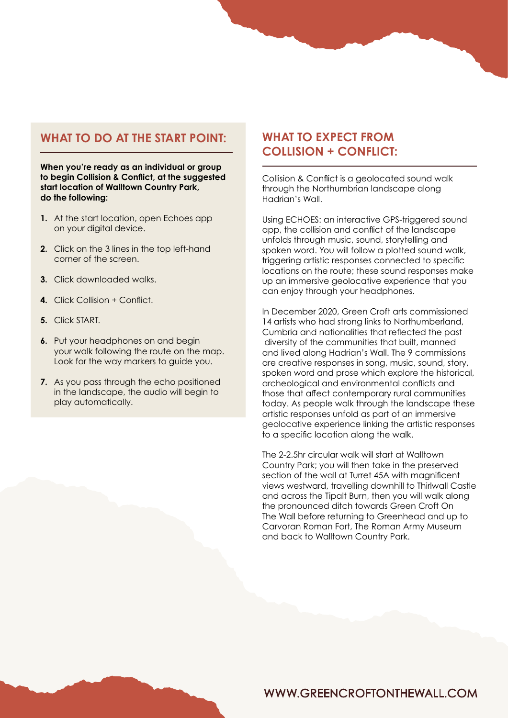# **WHAT TO DO AT THE START POINT:**

**When you're ready as an individual or group to begin Collision & Conflict, at the suggested start location of Walltown Country Park, do the following:** 

- **1.** At the start location, open Echoes app on your digital device.
- **2.** Click on the 3 lines in the top left-hand corner of the screen.
- **3.** Click downloaded walks.
- **4.** Click Collision + Conflict.
- **5.** Click START.
- **6.** Put your headphones on and begin your walk following the route on the map. Look for the way markers to guide you.
- **7.** As you pass through the echo positioned in the landscape, the audio will begin to play automatically.

# **WHAT TO EXPECT FROM COLLISION + CONFLICT:**

Collision & Conflict is a geolocated sound walk through the Northumbrian landscape along Hadrian's Wall.

Using ECHOES: an interactive GPS-triggered sound app, the collision and conflict of the landscape unfolds through music, sound, storytelling and spoken word. You will follow a plotted sound walk, triggering artistic responses connected to specific locations on the route; these sound responses make up an immersive geolocative experience that you can enjoy through your headphones.

In December 2020, Green Croft arts commissioned 14 artists who had strong links to Northumberland, Cumbria and nationalities that reflected the past diversity of the communities that built, manned and lived along Hadrian's Wall. The 9 commissions are creative responses in song, music, sound, story, spoken word and prose which explore the historical, archeological and environmental conflicts and those that affect contemporary rural communities today. As people walk through the landscape these artistic responses unfold as part of an immersive geolocative experience linking the artistic responses to a specific location along the walk.

The 2-2.5hr circular walk will start at Walltown Country Park; you will then take in the preserved section of the wall at Turret 45A with magnificent views westward, travelling downhill to Thirlwall Castle and across the Tipalt Burn, then you will walk along the pronounced ditch towards Green Croft On The Wall before returning to Greenhead and up to Carvoran Roman Fort, The Roman Army Museum and back to Walltown Country Park.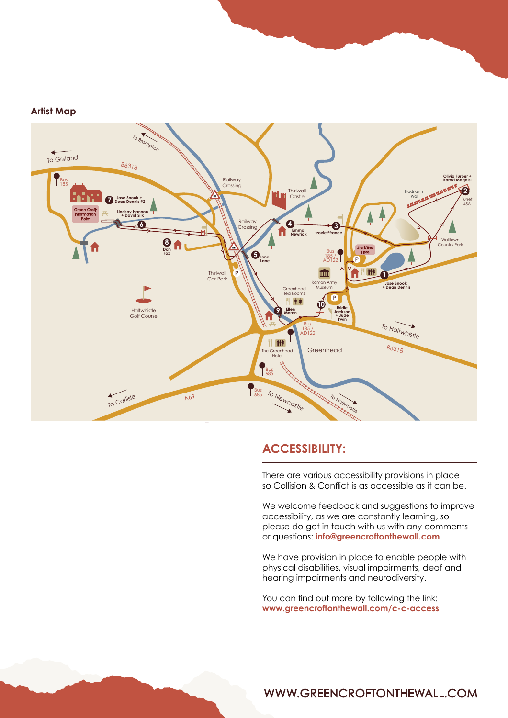#### **Artist Map**



#### **ACCESSIBILITY:**

There are various accessibility provisions in place so Collision & Conflict is as accessible as it can be.

We welcome feedback and suggestions to improve accessibility, as we are constantly learning, so please do get in touch with us with any comments or questions: **[info@greencroftonthewall.com](mailto:info@greencroftonthewall.com)**

We have provision in place to enable people with physical disabilities, visual impairments, deaf and hearing impairments and neurodiversity.

You can find out more by following the link: **<www.greencroftonthewall.com/c-c-access>**